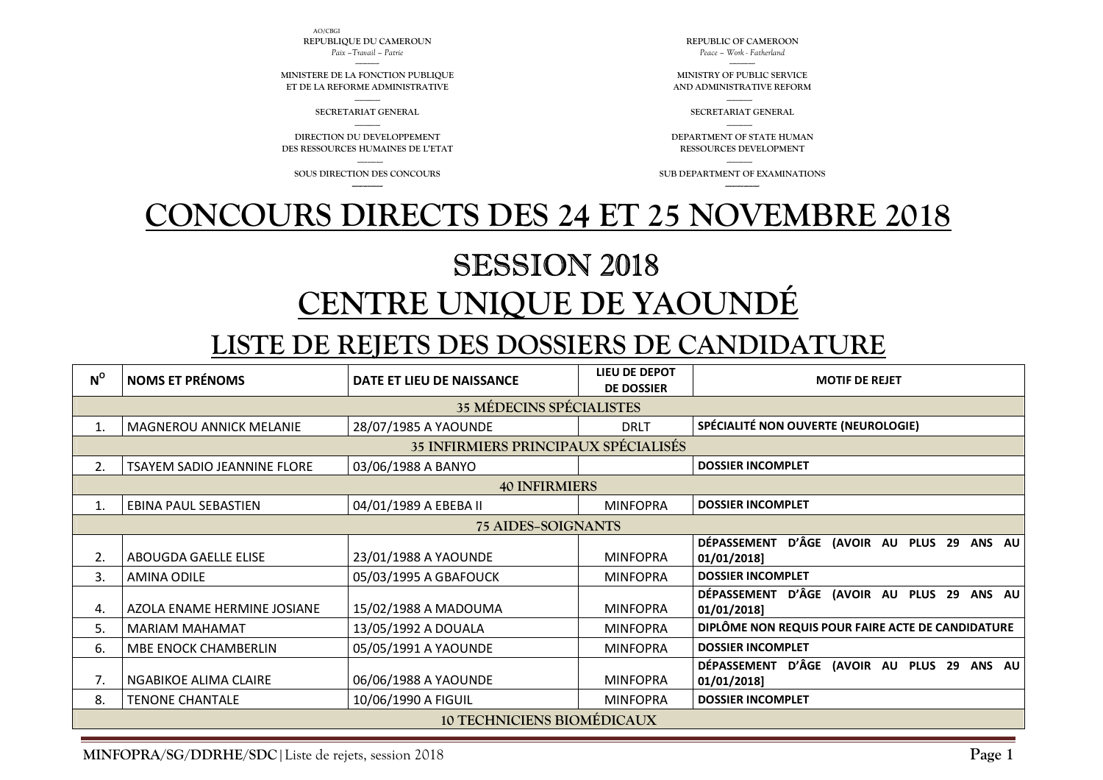AO/CBGI **REPUBLIQUE DU CAMEROUN** *Paix –Travail – Patrie* 

-------------- **MINISTERE DE LA FONCTION PUBLIQUE ET DE LA REFORME ADMINISTRATIVE**

**SECRETARIAT GENERAL** 

--------------- **DIRECTION DU DEVELOPPEMENT DES RESSOURCES HUMAINES DE L'ETAT** 

---------------

**SOUS DIRECTION DES CONCOURS** 

**REPUBLIC OF CAMEROON** *Peace – Work - Fatherland* 

--------------- **MINISTRY OF PUBLIC SERVICE AND ADMINISTRATIVE REFORM** 

> --------------- **SECRETARIAT GENERAL**

--------------- **DEPARTMENT OF STATE HUMAN RESSOURCES DEVELOPMENT** 

--------------- **SUB DEPARTMENT OF EXAMINATIONS** 

## **CONCOURS DIRECTS DES 24 ET 25 NOVEMBRE 2018**

## SESSION 2018 **CENTRE UNIQUE DE YAOUNDÉ**

## **LISTE DE REJETS DES DOSSIERS DE CANDIDATURE**

| $N^{\circ}$                                 | <b>NOMS ET PRÉNOMS</b>             | DATE ET LIEU DE NAISSANCE | <b>LIEU DE DEPOT</b><br><b>DE DOSSIER</b> | <b>MOTIF DE REJET</b>                                                  |  |  |  |  |
|---------------------------------------------|------------------------------------|---------------------------|-------------------------------------------|------------------------------------------------------------------------|--|--|--|--|
| <b>35 MÉDECINS SPÉCIALISTES</b>             |                                    |                           |                                           |                                                                        |  |  |  |  |
| 1.                                          | <b>MAGNEROU ANNICK MELANIE</b>     | 28/07/1985 A YAOUNDE      | <b>DRLT</b>                               | SPÉCIALITÉ NON OUVERTE (NEUROLOGIE)                                    |  |  |  |  |
| <b>35 INFIRMIERS PRINCIPAUX SPÉCIALISÉS</b> |                                    |                           |                                           |                                                                        |  |  |  |  |
| 2.                                          | <b>TSAYEM SADIO JEANNINE FLORE</b> | 03/06/1988 A BANYO        |                                           | <b>DOSSIER INCOMPLET</b>                                               |  |  |  |  |
| <b>40 INFIRMIERS</b>                        |                                    |                           |                                           |                                                                        |  |  |  |  |
| 1.                                          | EBINA PAUL SEBASTIEN               | 04/01/1989 A EBEBA II     | <b>MINFOPRA</b>                           | <b>DOSSIER INCOMPLET</b>                                               |  |  |  |  |
| <b>75 AIDES-SOIGNANTS</b>                   |                                    |                           |                                           |                                                                        |  |  |  |  |
| 2.                                          | ABOUGDA GAELLE ELISE               | 23/01/1988 A YAOUNDE      | <b>MINFOPRA</b>                           | D'ÂGE (AVOIR AU PLUS 29<br><b>DÉPASSEMENT</b><br>ANS AU<br>01/01/2018] |  |  |  |  |
| 3.                                          | AMINA ODILE                        | 05/03/1995 A GBAFOUCK     | <b>MINFOPRA</b>                           | <b>DOSSIER INCOMPLET</b>                                               |  |  |  |  |
| 4.                                          | AZOLA ENAME HERMINE JOSIANE        | 15/02/1988 A MADOUMA      | <b>MINFOPRA</b>                           | DÉPASSEMENT D'ÂGE (AVOIR AU PLUS 29<br>ANS AU<br>01/01/2018]           |  |  |  |  |
| 5.                                          | <b>MARIAM MAHAMAT</b>              | 13/05/1992 A DOUALA       | <b>MINFOPRA</b>                           | DIPLÔME NON REQUIS POUR FAIRE ACTE DE CANDIDATURE                      |  |  |  |  |
| 6.                                          | <b>MBE ENOCK CHAMBERLIN</b>        | 05/05/1991 A YAOUNDE      | <b>MINFOPRA</b>                           | <b>DOSSIER INCOMPLET</b>                                               |  |  |  |  |
| 7.                                          | NGABIKOE ALIMA CLAIRE              | 06/06/1988 A YAOUNDE      | <b>MINFOPRA</b>                           | DÉPASSEMENT D'ÂGE (AVOIR AU PLUS 29 ANS AU<br>01/01/2018]              |  |  |  |  |
| 8.                                          | <b>TENONE CHANTALE</b>             | 10/06/1990 A FIGUIL       | <b>MINFOPRA</b>                           | <b>DOSSIER INCOMPLET</b>                                               |  |  |  |  |
|                                             | <b>10 TECHNICIENS BIOMÉDICAUX</b>  |                           |                                           |                                                                        |  |  |  |  |

**MINFOPRA/SG/DDRHE/SDC**|Liste de rejets, session 2018